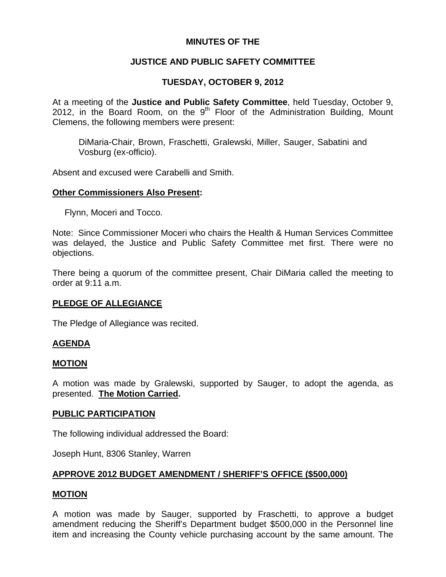## **MINUTES OF THE**

## **JUSTICE AND PUBLIC SAFETY COMMITTEE**

## **TUESDAY, OCTOBER 9, 2012**

At a meeting of the **Justice and Public Safety Committee**, held Tuesday, October 9, 2012, in the Board Room, on the  $9<sup>th</sup>$  Floor of the Administration Building, Mount Clemens, the following members were present:

DiMaria-Chair, Brown, Fraschetti, Gralewski, Miller, Sauger, Sabatini and Vosburg (ex-officio).

Absent and excused were Carabelli and Smith.

#### **Other Commissioners Also Present:**

Flynn, Moceri and Tocco.

Note: Since Commissioner Moceri who chairs the Health & Human Services Committee was delayed, the Justice and Public Safety Committee met first. There were no objections.

There being a quorum of the committee present, Chair DiMaria called the meeting to order at 9:11 a.m.

#### **PLEDGE OF ALLEGIANCE**

The Pledge of Allegiance was recited.

#### **AGENDA**

#### **MOTION**

A motion was made by Gralewski, supported by Sauger, to adopt the agenda, as presented. **The Motion Carried.** 

#### **PUBLIC PARTICIPATION**

The following individual addressed the Board:

Joseph Hunt, 8306 Stanley, Warren

#### **APPROVE 2012 BUDGET AMENDMENT / SHERIFF'S OFFICE (\$500,000)**

#### **MOTION**

A motion was made by Sauger, supported by Fraschetti, to approve a budget amendment reducing the Sheriff's Department budget \$500,000 in the Personnel line item and increasing the County vehicle purchasing account by the same amount. The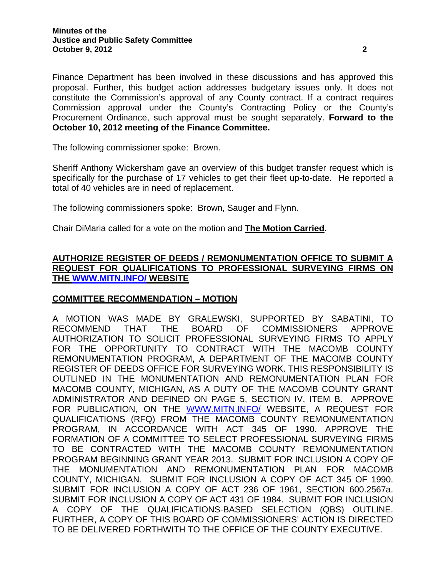Finance Department has been involved in these discussions and has approved this proposal. Further, this budget action addresses budgetary issues only. It does not constitute the Commission's approval of any County contract. If a contract requires Commission approval under the County's Contracting Policy or the County's Procurement Ordinance, such approval must be sought separately. **Forward to the October 10, 2012 meeting of the Finance Committee.** 

The following commissioner spoke: Brown.

Sheriff Anthony Wickersham gave an overview of this budget transfer request which is specifically for the purchase of 17 vehicles to get their fleet up-to-date. He reported a total of 40 vehicles are in need of replacement.

The following commissioners spoke: Brown, Sauger and Flynn.

Chair DiMaria called for a vote on the motion and **The Motion Carried.** 

## **AUTHORIZE REGISTER OF DEEDS / REMONUMENTATION OFFICE TO SUBMIT A REQUEST FOR QUALIFICATIONS TO PROFESSIONAL SURVEYING FIRMS ON THE [WWW.MITN.INFO/](http://www.mitn.info/) WEBSITE**

#### **COMMITTEE RECOMMENDATION – MOTION**

A MOTION WAS MADE BY GRALEWSKI, SUPPORTED BY SABATINI, TO RECOMMEND THAT THE BOARD OF COMMISSIONERS APPROVE AUTHORIZATION TO SOLICIT PROFESSIONAL SURVEYING FIRMS TO APPLY FOR THE OPPORTUNITY TO CONTRACT WITH THE MACOMB COUNTY REMONUMENTATION PROGRAM, A DEPARTMENT OF THE MACOMB COUNTY REGISTER OF DEEDS OFFICE FOR SURVEYING WORK. THIS RESPONSIBILITY IS OUTLINED IN THE MONUMENTATION AND REMONUMENTATION PLAN FOR MACOMB COUNTY, MICHIGAN, AS A DUTY OF THE MACOMB COUNTY GRANT ADMINISTRATOR AND DEFINED ON PAGE 5, SECTION IV, ITEM B. APPROVE FOR PUBLICATION, ON THE [WWW.MITN.INFO/](http://www.mitn.info/) WEBSITE, A REQUEST FOR QUALIFICATIONS (RFQ) FROM THE MACOMB COUNTY REMONUMENTATION PROGRAM, IN ACCORDANCE WITH ACT 345 OF 1990. APPROVE THE FORMATION OF A COMMITTEE TO SELECT PROFESSIONAL SURVEYING FIRMS TO BE CONTRACTED WITH THE MACOMB COUNTY REMONUMENTATION PROGRAM BEGINNING GRANT YEAR 2013. SUBMIT FOR INCLUSION A COPY OF THE MONUMENTATION AND REMONUMENTATION PLAN FOR MACOMB COUNTY, MICHIGAN. SUBMIT FOR INCLUSION A COPY OF ACT 345 OF 1990. SUBMIT FOR INCLUSION A COPY OF ACT 236 OF 1961, SECTION 600.2567a. SUBMIT FOR INCLUSION A COPY OF ACT 431 OF 1984. SUBMIT FOR INCLUSION A COPY OF THE QUALIFICATIONS-BASED SELECTION (QBS) OUTLINE. FURTHER, A COPY OF THIS BOARD OF COMMISSIONERS' ACTION IS DIRECTED TO BE DELIVERED FORTHWITH TO THE OFFICE OF THE COUNTY EXECUTIVE.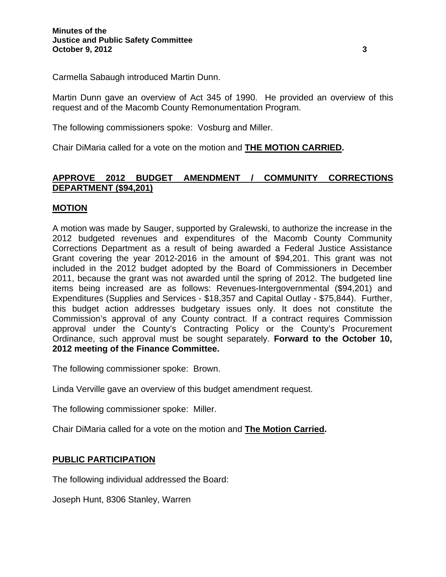Carmella Sabaugh introduced Martin Dunn.

Martin Dunn gave an overview of Act 345 of 1990. He provided an overview of this request and of the Macomb County Remonumentation Program.

The following commissioners spoke: Vosburg and Miller.

Chair DiMaria called for a vote on the motion and **THE MOTION CARRIED.** 

## **APPROVE 2012 BUDGET AMENDMENT / COMMUNITY CORRECTIONS DEPARTMENT (\$94,201)**

## **MOTION**

A motion was made by Sauger, supported by Gralewski, to authorize the increase in the 2012 budgeted revenues and expenditures of the Macomb County Community Corrections Department as a result of being awarded a Federal Justice Assistance Grant covering the year 2012-2016 in the amount of \$94,201. This grant was not included in the 2012 budget adopted by the Board of Commissioners in December 2011, because the grant was not awarded until the spring of 2012. The budgeted line items being increased are as follows: Revenues-Intergovernmental (\$94,201) and Expenditures (Supplies and Services - \$18,357 and Capital Outlay - \$75,844). Further, this budget action addresses budgetary issues only. It does not constitute the Commission's approval of any County contract. If a contract requires Commission approval under the County's Contracting Policy or the County's Procurement Ordinance, such approval must be sought separately. **Forward to the October 10, 2012 meeting of the Finance Committee.** 

The following commissioner spoke: Brown.

Linda Verville gave an overview of this budget amendment request.

The following commissioner spoke: Miller.

Chair DiMaria called for a vote on the motion and **The Motion Carried.** 

#### **PUBLIC PARTICIPATION**

The following individual addressed the Board:

Joseph Hunt, 8306 Stanley, Warren